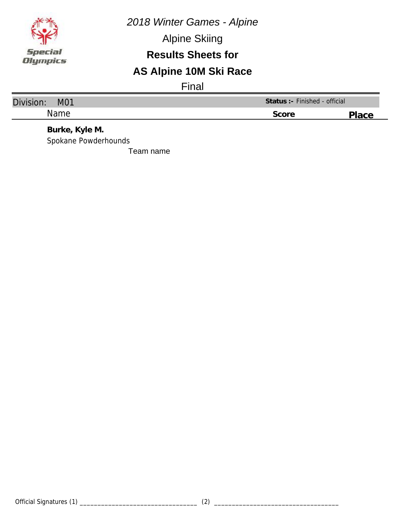

Alpine Skiing

#### **Results Sheets for**

## **AS Alpine 10M Ski Race**

Final

| Division:<br>M01                    | Status: - Finished - official |       |  |
|-------------------------------------|-------------------------------|-------|--|
| <b>Name</b>                         | Score                         | Place |  |
| $D_{L1}$ $R_{L2}$ $V_{L1}$ $R_{L1}$ |                               |       |  |

**Burke, Kyle M.** Spokane Powderhounds

Team name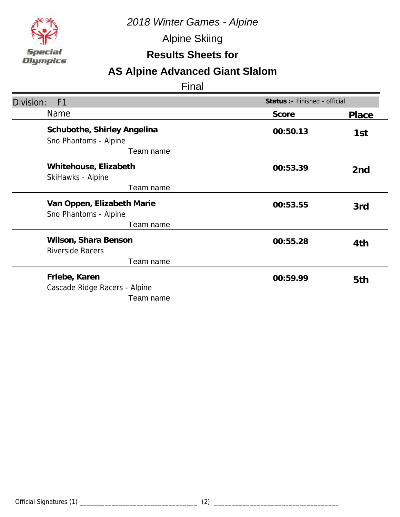

Alpine Skiing

## **Results Sheets for**

## **AS Alpine Advanced Giant Slalom**

| Division:<br>F <sub>1</sub>                                       | Status :- Finished - official |              |
|-------------------------------------------------------------------|-------------------------------|--------------|
| Name                                                              | Score                         | <b>Place</b> |
| Schubothe, Shirley Angelina<br>Sno Phantoms - Alpine<br>Team name | 00:50.13                      | 1st          |
| Whitehouse, Elizabeth<br>SkiHawks - Alpine<br>Team name           | 00:53.39                      | 2nd          |
| Van Oppen, Elizabeth Marie<br>Sno Phantoms - Alpine<br>Team name  | 00:53.55                      | 3rd          |
| Wilson, Shara Benson<br><b>Riverside Racers</b><br>Team name      | 00:55.28                      | 4th          |
| Friebe, Karen<br>Cascade Ridge Racers - Alpine<br>Team name       | 00:59.99                      | 5th          |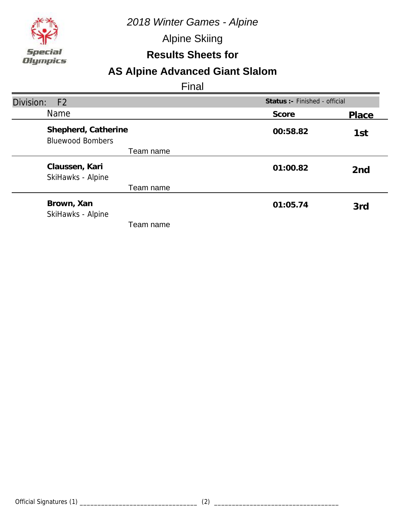

Alpine Skiing

### **Results Sheets for**

## **AS Alpine Advanced Giant Slalom**

| Division:<br>F <sub>2</sub>                    | Status :- Finished - official |                 |
|------------------------------------------------|-------------------------------|-----------------|
| <b>Name</b>                                    | Score                         | Place           |
| Shepherd, Catherine<br><b>Bluewood Bombers</b> | 00:58.82                      | 1st             |
| Team name                                      |                               |                 |
| Claussen, Kari<br>SkiHawks - Alpine            | 01:00.82                      | 2 <sub>nd</sub> |
| Team name                                      |                               |                 |
| Brown, Xan<br>SkiHawks - Alpine                | 01:05.74                      | 3rd             |
| Team name                                      |                               |                 |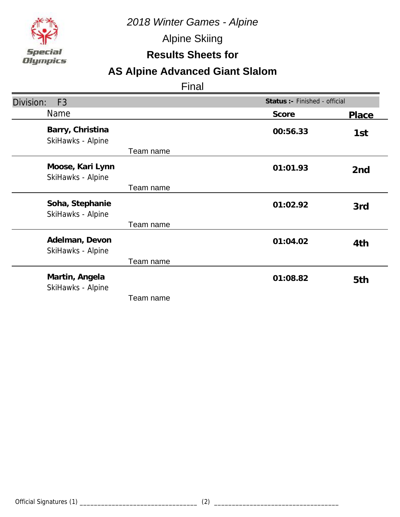

Alpine Skiing

### **Results Sheets for**

# **AS Alpine Advanced Giant Slalom**

| Division:<br>F <sub>3</sub>           |                       | Status :- Finished - official |
|---------------------------------------|-----------------------|-------------------------------|
| <b>Name</b>                           | Score                 | Place                         |
| Barry, Christina<br>SkiHawks - Alpine | 00:56.33<br>Team name | 1st                           |
| Moose, Kari Lynn<br>SkiHawks - Alpine | 01:01.93              | 2 <sub>nd</sub>               |
|                                       | Team name             |                               |
| Soha, Stephanie<br>SkiHawks - Alpine  | 01:02.92              | 3rd                           |
|                                       | Team name             |                               |
| Adelman, Devon<br>SkiHawks - Alpine   | 01:04.02              | 4th                           |
|                                       | Team name             |                               |
| Martin, Angela<br>SkiHawks - Alpine   | 01:08.82              | 5th                           |
|                                       | Team name             |                               |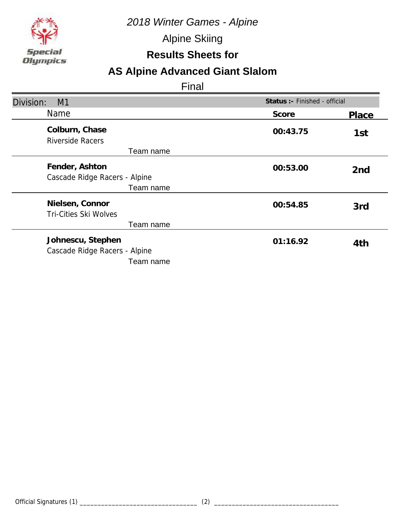

Alpine Skiing

### **Results Sheets for**

## **AS Alpine Advanced Giant Slalom**

| Division:<br>M1                                                 | Status :- Finished - official |                 |
|-----------------------------------------------------------------|-------------------------------|-----------------|
| Name                                                            | Score                         | Place           |
| Colburn, Chase<br><b>Riverside Racers</b>                       | 00:43.75                      | 1st             |
| Team name                                                       |                               |                 |
| Fender, Ashton<br>Cascade Ridge Racers - Alpine                 | 00:53.00                      | 2 <sub>nd</sub> |
| Team name                                                       |                               |                 |
| Nielsen, Connor<br><b>Tri-Cities Ski Wolves</b>                 | 00:54.85                      | 3rd             |
| Team name                                                       |                               |                 |
| Johnescu, Stephen<br>Cascade Ridge Racers - Alpine<br>Team name | 01:16.92                      | 4th             |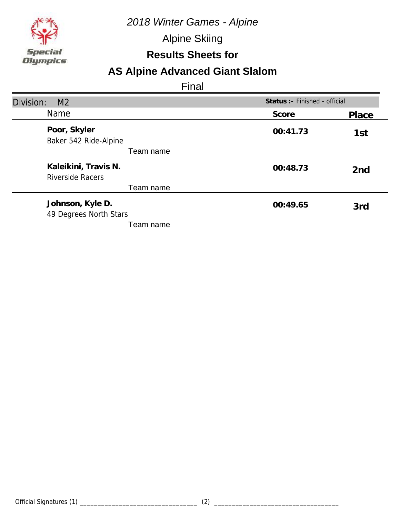

Alpine Skiing

### **Results Sheets for**

## **AS Alpine Advanced Giant Slalom**

| Division:<br>M <sub>2</sub>                     | Status :- Finished - official |                 |
|-------------------------------------------------|-------------------------------|-----------------|
| <b>Name</b>                                     | Score                         | Place           |
| Poor, Skyler<br>Baker 542 Ride-Alpine           | 00:41.73                      | 1st             |
| Team name                                       |                               |                 |
| Kaleikini, Travis N.<br><b>Riverside Racers</b> | 00:48.73                      | 2 <sub>nd</sub> |
| Team name                                       |                               |                 |
| Johnson, Kyle D.<br>49 Degrees North Stars      | 00:49.65                      | 3rd             |
| Team name                                       |                               |                 |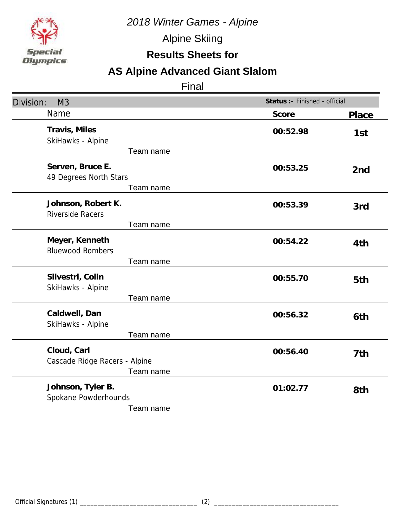

Alpine Skiing

## **Results Sheets for**

# **AS Alpine Advanced Giant Slalom**

| Division:<br>M <sub>3</sub>                                | Status :- Finished - official |                 |
|------------------------------------------------------------|-------------------------------|-----------------|
| Name                                                       | Score                         | <b>Place</b>    |
| Travis, Miles<br>SkiHawks - Alpine<br>Team name            | 00:52.98                      | 1st             |
| Serven, Bruce E.<br>49 Degrees North Stars<br>Team name    | 00:53.25                      | 2 <sub>nd</sub> |
| Johnson, Robert K.<br><b>Riverside Racers</b><br>Team name | 00:53.39                      | 3rd             |
| Meyer, Kenneth<br><b>Bluewood Bombers</b><br>Team name     | 00:54.22                      | 4th             |
| Silvestri, Colin<br>SkiHawks - Alpine<br>Team name         | 00:55.70                      | 5th             |
| Caldwell, Dan<br>SkiHawks - Alpine<br>Team name            | 00:56.32                      | 6th             |
| Cloud, Carl<br>Cascade Ridge Racers - Alpine<br>Team name  | 00:56.40                      | 7th             |
| Johnson, Tyler B.<br>Spokane Powderhounds<br>Team name     | 01:02.77                      | 8th             |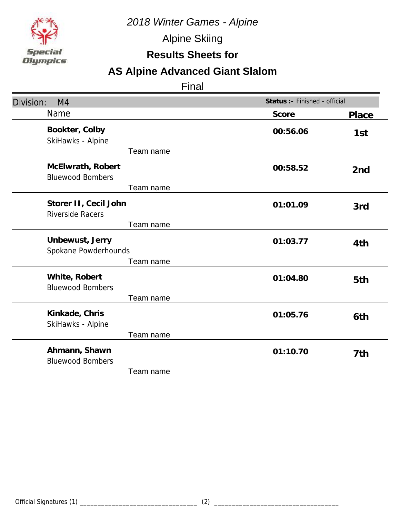

Alpine Skiing

## **Results Sheets for**

# **AS Alpine Advanced Giant Slalom**

| Division:<br>M4                                               | Status :- Finished - official |                 |
|---------------------------------------------------------------|-------------------------------|-----------------|
| Name                                                          | Score                         | Place           |
| Bookter, Colby<br>SkiHawks - Alpine<br>Team name              | 00:56.06                      | 1st             |
| McElwrath, Robert<br><b>Bluewood Bombers</b><br>Team name     | 00:58.52                      | 2 <sub>nd</sub> |
| Storer II, Cecil John<br><b>Riverside Racers</b><br>Team name | 01:01.09                      | 3rd             |
| Unbewust, Jerry<br>Spokane Powderhounds<br>Team name          | 01:03.77                      | 4th             |
| White, Robert<br><b>Bluewood Bombers</b><br>Team name         | 01:04.80                      | 5th             |
| Kinkade, Chris<br>SkiHawks - Alpine<br>Team name              | 01:05.76                      | 6th             |
| Ahmann, Shawn<br><b>Bluewood Bombers</b><br>Team name         | 01:10.70                      | 7th             |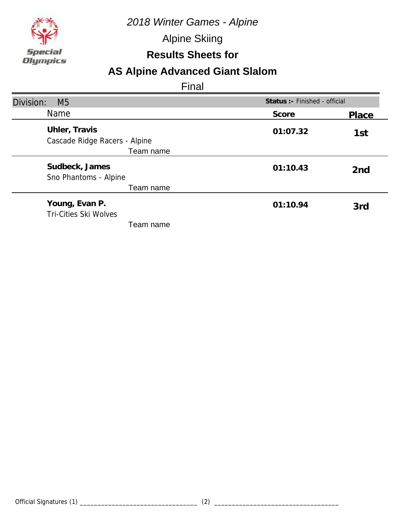

Alpine Skiing

### **Results Sheets for**

# **AS Alpine Advanced Giant Slalom**

| Division:<br>M <sub>5</sub>                    | Status : - Finished - official |                 |
|------------------------------------------------|--------------------------------|-----------------|
| <b>Name</b>                                    | Score                          | Place           |
| Uhler, Travis<br>Cascade Ridge Racers - Alpine | 01:07.32                       | 1st             |
| Team name                                      |                                |                 |
| Sudbeck, James<br>Sno Phantoms - Alpine        | 01:10.43                       | 2 <sub>nd</sub> |
| Team name                                      |                                |                 |
| Young, Evan P.<br><b>Tri-Cities Ski Wolves</b> | 01:10.94                       | 3rd             |
| Team name                                      |                                |                 |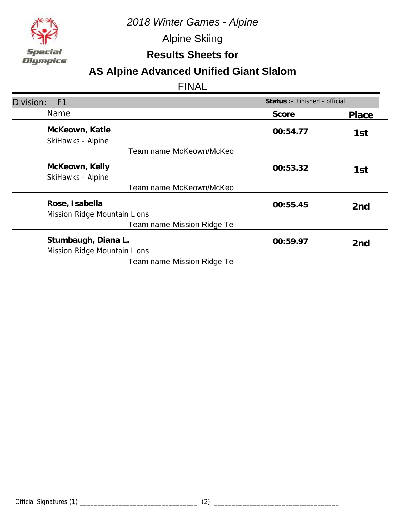

Alpine Skiing

**Results Sheets for**

## **AS Alpine Advanced Unified Giant Slalom**

| Division:<br>F <sub>1</sub>                         | Status : - Finished - official |                 |
|-----------------------------------------------------|--------------------------------|-----------------|
| <b>Name</b>                                         | Score                          | Place           |
| McKeown, Katie<br>SkiHawks - Alpine                 | 00:54.77                       | 1st             |
| Team name McKeown/McKeo                             |                                |                 |
| McKeown, Kelly<br>SkiHawks - Alpine                 | 00:53.32                       | 1st             |
| Team name McKeown/McKeo                             |                                |                 |
| Rose, Isabella<br>Mission Ridge Mountain Lions      | 00:55.45                       | 2 <sub>nd</sub> |
| Team name Mission Ridge Te                          |                                |                 |
| Stumbaugh, Diana L.<br>Mission Ridge Mountain Lions | 00:59.97                       | 2 <sub>nd</sub> |
| Team name Mission Ridge Te                          |                                |                 |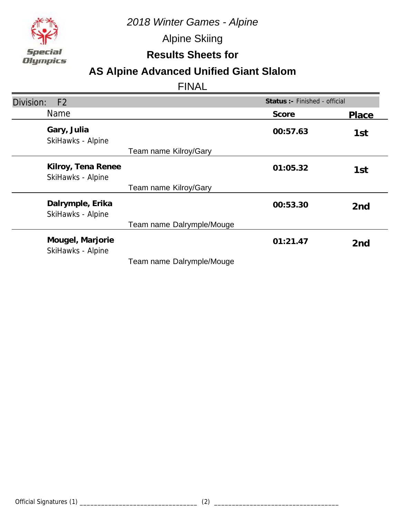

Alpine Skiing

**Results Sheets for**

## **AS Alpine Advanced Unified Giant Slalom**

| Division:<br>F <sub>2</sub>             |                           | Status :- Finished - official |                 |
|-----------------------------------------|---------------------------|-------------------------------|-----------------|
| Name                                    |                           | Score                         | Place           |
| Gary, Julia<br>SkiHawks - Alpine        |                           | 00:57.63                      | 1st             |
|                                         | Team name Kilroy/Gary     |                               |                 |
| Kilroy, Tena Renee<br>SkiHawks - Alpine |                           | 01:05.32                      | 1st             |
|                                         | Team name Kilroy/Gary     |                               |                 |
| Dalrymple, Erika<br>SkiHawks - Alpine   |                           | 00:53.30                      | 2 <sub>nd</sub> |
|                                         | Team name Dalrymple/Mouge |                               |                 |
| Mougel, Marjorie<br>SkiHawks - Alpine   |                           | 01:21.47                      | 2 <sub>nd</sub> |
|                                         | Team name Dalrymple/Mouge |                               |                 |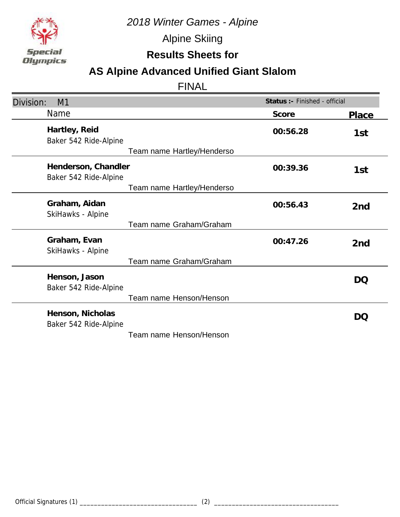

Alpine Skiing

**Results Sheets for**

## **AS Alpine Advanced Unified Giant Slalom**

| Division:<br>M1                              | Status :- Finished - official |                 |
|----------------------------------------------|-------------------------------|-----------------|
| Name                                         | Score                         | Place           |
| Hartley, Reid<br>Baker 542 Ride-Alpine       | 00:56.28                      | 1st             |
| Team name Hartley/Henderso                   |                               |                 |
| Henderson, Chandler<br>Baker 542 Ride-Alpine | 00:39.36                      | 1st             |
| Team name Hartley/Henderso                   |                               |                 |
| Graham, Aidan<br>SkiHawks - Alpine           | 00:56.43                      | 2 <sub>nd</sub> |
| Team name Graham/Graham                      |                               |                 |
| Graham, Evan<br>SkiHawks - Alpine            | 00:47.26                      | 2nd             |
| Team name Graham/Graham                      |                               |                 |
| Henson, Jason<br>Baker 542 Ride-Alpine       |                               | DQ              |
| Team name Henson/Henson                      |                               |                 |
| Henson, Nicholas<br>Baker 542 Ride-Alpine    |                               | DQ              |
| Team name Henson/Henson                      |                               |                 |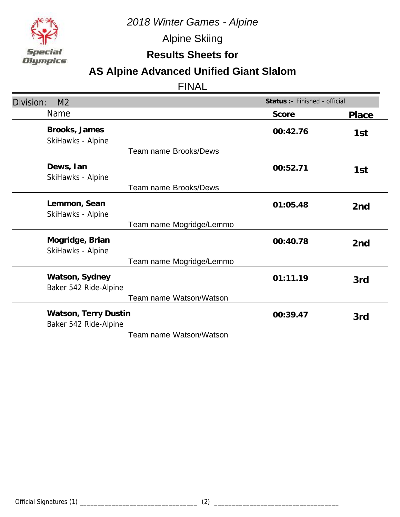

Alpine Skiing

**Results Sheets for**

## **AS Alpine Advanced Unified Giant Slalom**

| Division:<br>M <sub>2</sub>                   | Status :- Finished - official |                 |
|-----------------------------------------------|-------------------------------|-----------------|
| <b>Name</b>                                   | Score                         | Place           |
| Brooks, James<br>SkiHawks - Alpine            | 00:42.76                      | 1st             |
| <b>Team name Brooks/Dews</b>                  |                               |                 |
| Dews, Ian<br>SkiHawks - Alpine                | 00:52.71                      | 1st             |
| <b>Team name Brooks/Dews</b>                  |                               |                 |
| Lemmon, Sean<br>SkiHawks - Alpine             | 01:05.48                      | 2 <sub>nd</sub> |
| Team name Mogridge/Lemmo                      |                               |                 |
| Mogridge, Brian<br>SkiHawks - Alpine          | 00:40.78                      | 2nd             |
| Team name Mogridge/Lemmo                      |                               |                 |
| Watson, Sydney<br>Baker 542 Ride-Alpine       | 01:11.19                      | 3rd             |
| Team name Watson/Watson                       |                               |                 |
| Watson, Terry Dustin<br>Baker 542 Ride-Alpine | 00:39.47                      | 3rd             |
| Team name Watson/Watson                       |                               |                 |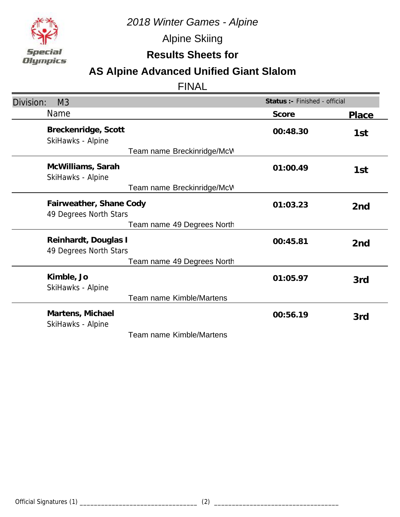

Alpine Skiing

**Results Sheets for**

## **AS Alpine Advanced Unified Giant Slalom**

| Division:<br>M <sub>3</sub>                       | Status :- Finished - official |                 |
|---------------------------------------------------|-------------------------------|-----------------|
| Name                                              | Score                         | Place           |
| Breckenridge, Scott<br>SkiHawks - Alpine          | 00:48.30                      | 1st             |
| Team name Breckinridge/McV                        |                               |                 |
| McWilliams, Sarah<br>SkiHawks - Alpine            | 01:00.49                      | 1st             |
| Team name Breckinridge/McV                        |                               |                 |
| Fairweather, Shane Cody<br>49 Degrees North Stars | 01:03.23                      | 2 <sub>nd</sub> |
| Team name 49 Degrees North                        |                               |                 |
| Reinhardt, Douglas I<br>49 Degrees North Stars    | 00:45.81                      | 2 <sub>nd</sub> |
| Team name 49 Degrees North                        |                               |                 |
| Kimble, Jo<br>SkiHawks - Alpine                   | 01:05.97                      | 3rd             |
| <b>Team name Kimble/Martens</b>                   |                               |                 |
| Martens, Michael<br>SkiHawks - Alpine             | 00:56.19                      | 3rd             |
| Team name Kimble/Martens                          |                               |                 |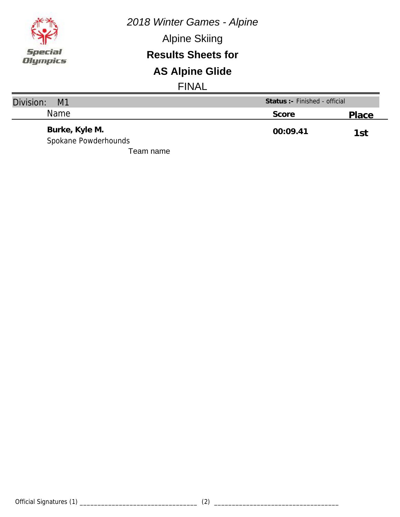

Alpine Skiing

#### **Results Sheets for**

# **AS Alpine Glide**

| Division:<br>M <sub>1</sub>            | Status :- Finished - official |       |
|----------------------------------------|-------------------------------|-------|
| <b>Name</b>                            | Score                         | Place |
| Burke, Kyle M.<br>Spokane Powderhounds | 00:09.41                      | 1st   |
| Team name                              |                               |       |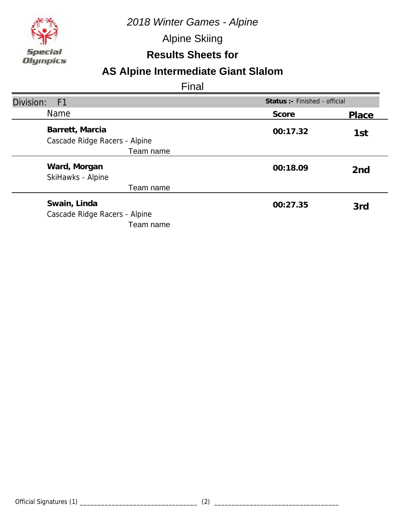

Alpine Skiing

### **Results Sheets for**

## **AS Alpine Intermediate Giant Slalom**

| Division:<br>F1                                            |          | Status :- Finished - official |  |
|------------------------------------------------------------|----------|-------------------------------|--|
| <b>Name</b>                                                | Score    | Place                         |  |
| Barrett, Marcia<br>Cascade Ridge Racers - Alpine           | 00:17.32 | 1st                           |  |
| Team name                                                  |          |                               |  |
| Ward, Morgan<br>SkiHawks - Alpine                          | 00:18.09 | 2 <sub>nd</sub>               |  |
| Team name                                                  |          |                               |  |
| Swain, Linda<br>Cascade Ridge Racers - Alpine<br>Team name | 00:27.35 | 3rd                           |  |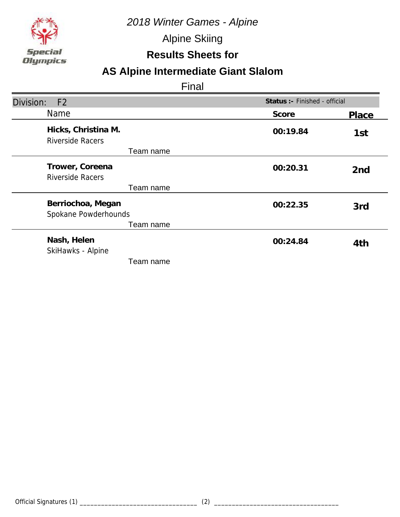

Alpine Skiing

### **Results Sheets for**

## **AS Alpine Intermediate Giant Slalom**

| Division:<br>F <sub>2</sub>                    | Status :- Finished - official |                 |
|------------------------------------------------|-------------------------------|-----------------|
| Name                                           | Score                         | Place           |
| Hicks, Christina M.<br><b>Riverside Racers</b> | 00:19.84                      | 1st             |
| Team name                                      |                               |                 |
| Trower, Coreena<br><b>Riverside Racers</b>     | 00:20.31                      | 2 <sub>nd</sub> |
| Team name                                      |                               |                 |
| Berriochoa, Megan<br>Spokane Powderhounds      | 00:22.35                      | 3rd             |
| Team name                                      |                               |                 |
| Nash, Helen<br>SkiHawks - Alpine               | 00:24.84                      | 4th             |
| Team name                                      |                               |                 |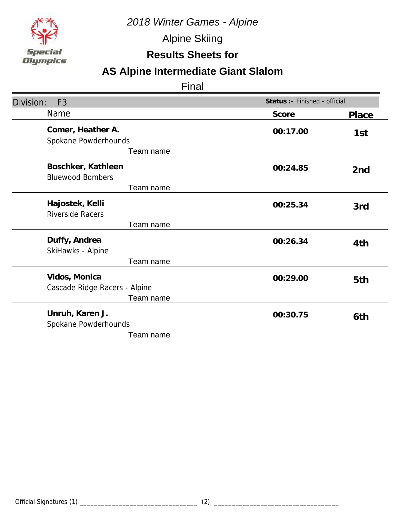

Alpine Skiing

## **Results Sheets for**

# **AS Alpine Intermediate Giant Slalom**

| Division:<br>F <sub>3</sub>                                 | Status :- Finished - official |                 |
|-------------------------------------------------------------|-------------------------------|-----------------|
| Name                                                        | Score                         | Place           |
| Comer, Heather A.<br>Spokane Powderhounds<br>Team name      | 00:17.00                      | 1st             |
| Boschker, Kathleen<br><b>Bluewood Bombers</b><br>Team name  | 00:24.85                      | 2 <sub>nd</sub> |
| Hajostek, Kelli<br><b>Riverside Racers</b>                  | 00:25.34                      | 3rd             |
| Team name                                                   |                               |                 |
| Duffy, Andrea<br>SkiHawks - Alpine                          | 00:26.34                      | 4th             |
| Team name                                                   |                               |                 |
| Vidos, Monica<br>Cascade Ridge Racers - Alpine<br>Team name | 00:29.00                      | 5th             |
| Unruh, Karen J.<br>Spokane Powderhounds<br>Team name        | 00:30.75                      | 6th             |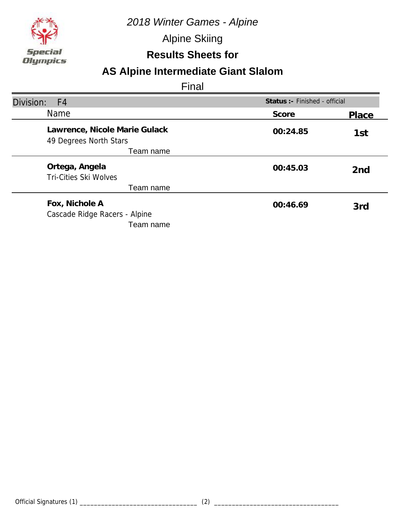

Alpine Skiing

### **Results Sheets for**

## **AS Alpine Intermediate Giant Slalom**

| Division:<br>F <sub>4</sub>                                  | Status :- Finished - official |                 |
|--------------------------------------------------------------|-------------------------------|-----------------|
| Name                                                         | Score                         | Place           |
| Lawrence, Nicole Marie Gulack<br>49 Degrees North Stars      | 00:24.85                      | 1st             |
| Team name                                                    |                               |                 |
| Ortega, Angela<br><b>Tri-Cities Ski Wolves</b>               | 00:45.03                      | 2 <sub>nd</sub> |
| Team name                                                    |                               |                 |
| Fox, Nichole A<br>Cascade Ridge Racers - Alpine<br>Team name | 00:46.69                      | 3rd             |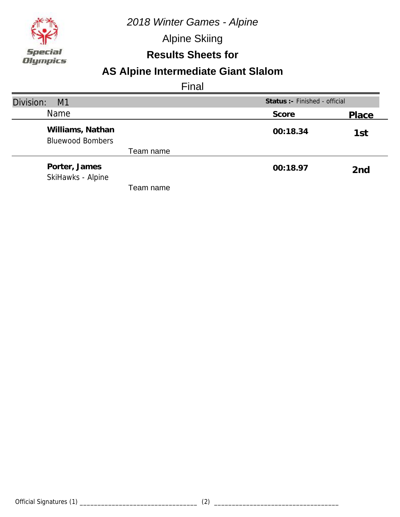

Alpine Skiing

### **Results Sheets for**

## **AS Alpine Intermediate Giant Slalom**

| Division:<br>M1                             | Status :- Finished - official |                 |
|---------------------------------------------|-------------------------------|-----------------|
| Name                                        | Score                         | Place           |
| Williams, Nathan<br><b>Bluewood Bombers</b> | 00:18.34                      | 1st             |
| Team name                                   |                               |                 |
| Porter, James<br>SkiHawks - Alpine          | 00:18.97                      | 2 <sub>nd</sub> |
| Геаm name                                   |                               |                 |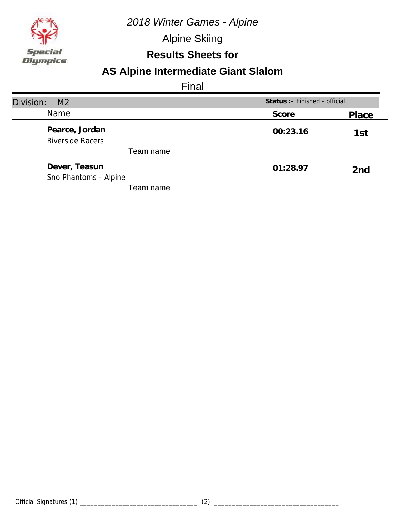

Alpine Skiing

### **Results Sheets for**

## **AS Alpine Intermediate Giant Slalom**

| Division:<br>M <sub>2</sub>               | Status :- Finished - official |                 |
|-------------------------------------------|-------------------------------|-----------------|
| <b>Name</b>                               | Score                         | Place           |
| Pearce, Jordan<br><b>Riverside Racers</b> | 00:23.16                      | 1st             |
| Team name                                 |                               |                 |
| Dever, Teasun<br>Sno Phantoms - Alpine    | 01:28.97                      | 2 <sub>nd</sub> |
| Team name                                 |                               |                 |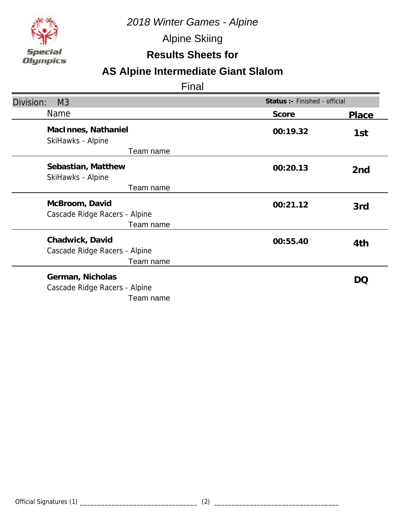

Alpine Skiing

## **Results Sheets for**

# **AS Alpine Intermediate Giant Slalom**

| Division:<br>M <sub>3</sub>                                    | Status :- Finished - official |        |
|----------------------------------------------------------------|-------------------------------|--------|
| Name                                                           | Score                         | Place  |
| MacInnes, Nathaniel<br>SkiHawks - Alpine                       | 00:19.32                      | 1st    |
| Team name                                                      |                               |        |
| Sebastian, Matthew<br>SkiHawks - Alpine                        | 00:20.13                      | 2nd    |
| Team name                                                      |                               |        |
| McBroom, David<br>Cascade Ridge Racers - Alpine<br>Team name   | 00:21.12                      | 3rd    |
| Chadwick, David<br>Cascade Ridge Racers - Alpine<br>Team name  | 00:55.40                      | 4th    |
| German, Nicholas<br>Cascade Ridge Racers - Alpine<br>Team name |                               | $\cup$ |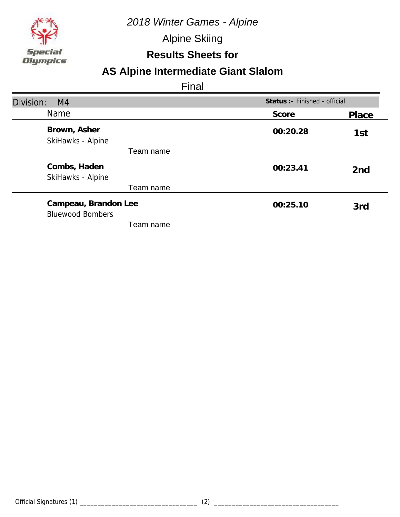

Alpine Skiing

#### **Results Sheets for**

## **AS Alpine Intermediate Giant Slalom**

| Division:<br>M <sub>4</sub>                     |          | Status : - Finished - official |  |
|-------------------------------------------------|----------|--------------------------------|--|
| <b>Name</b>                                     | Score    | Place                          |  |
| Brown, Asher<br>SkiHawks - Alpine               | 00:20.28 | 1st                            |  |
| Team name                                       |          |                                |  |
| Combs, Haden<br>SkiHawks - Alpine               | 00:23.41 | 2 <sub>nd</sub>                |  |
| Team name                                       |          |                                |  |
| Campeau, Brandon Lee<br><b>Bluewood Bombers</b> | 00:25.10 | 3rd                            |  |
| Team name                                       |          |                                |  |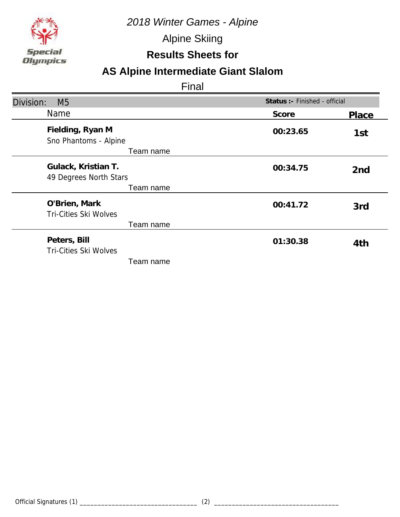

Alpine Skiing

## **Results Sheets for**

# **AS Alpine Intermediate Giant Slalom**

| Division:<br>M <sub>5</sub>                            | Status :- Finished - official |                 |
|--------------------------------------------------------|-------------------------------|-----------------|
| Name                                                   | Score                         | Place           |
| Fielding, Ryan M<br>Sno Phantoms - Alpine<br>Team name | 00:23.65                      | 1st             |
| Gulack, Kristian T.<br>49 Degrees North Stars          | 00:34.75                      | 2 <sub>nd</sub> |
| Team name                                              |                               |                 |
| O'Brien, Mark<br>Tri-Cities Ski Wolves                 | 00:41.72                      | 3rd             |
| Team name                                              |                               |                 |
| Peters, Bill<br>Tri-Cities Ski Wolves                  | 01:30.38                      | 4th             |
| Team name                                              |                               |                 |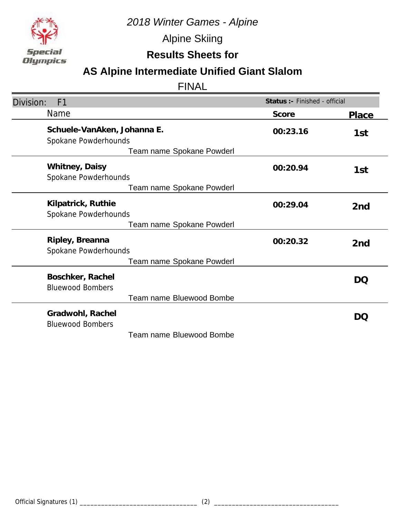

Alpine Skiing

## **Results Sheets for**

# **AS Alpine Intermediate Unified Giant Slalom**

| Division:<br>F <sub>1</sub>                         | Status : - Finished - official |                 |
|-----------------------------------------------------|--------------------------------|-----------------|
| <b>Name</b>                                         | Score                          | Place           |
| Schuele-VanAken, Johanna E.<br>Spokane Powderhounds | 00:23.16                       | 1st             |
| Team name Spokane Powderl                           |                                |                 |
| Whitney, Daisy<br>Spokane Powderhounds              | 00:20.94                       | 1st             |
| Team name Spokane Powderl                           |                                |                 |
| Kilpatrick, Ruthie<br>Spokane Powderhounds          | 00:29.04                       | 2 <sub>nd</sub> |
| Team name Spokane Powderl                           |                                |                 |
| Ripley, Breanna<br>Spokane Powderhounds             | 00:20.32                       | 2nd             |
| Team name Spokane Powderl                           |                                |                 |
| Boschker, Rachel<br><b>Bluewood Bombers</b>         |                                | DO              |
| Team name Bluewood Bombe                            |                                |                 |
| Gradwohl, Rachel<br><b>Bluewood Bombers</b>         |                                | DO              |
| Team name Bluewood Bombe                            |                                |                 |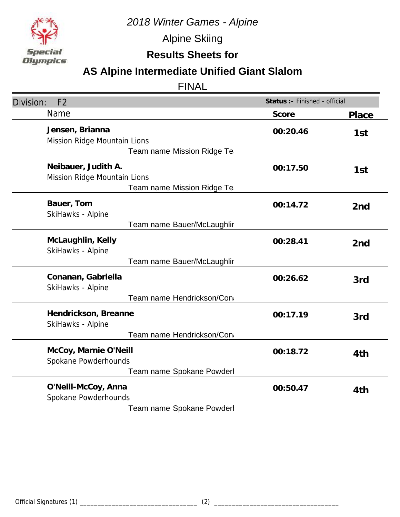

Alpine Skiing

## **Results Sheets for**

# **AS Alpine Intermediate Unified Giant Slalom**

| F <sub>2</sub><br>Division:                                                          | Status :- Finished - official |                 |
|--------------------------------------------------------------------------------------|-------------------------------|-----------------|
| Name                                                                                 | Score                         | Place           |
| Jensen, Brianna<br>Mission Ridge Mountain Lions<br><b>Team name Mission Ridge Te</b> | 00:20.46                      | 1st             |
| Neibauer, Judith A.<br>Mission Ridge Mountain Lions<br>Team name Mission Ridge Te    | 00:17.50                      | 1st             |
| Bauer, Tom<br>SkiHawks - Alpine                                                      | 00:14.72                      | 2nd             |
| Team name Bauer/McLaughlir                                                           |                               |                 |
| McLaughlin, Kelly<br>SkiHawks - Alpine                                               | 00:28.41                      | 2 <sub>nd</sub> |
| Team name Bauer/McLaughlir                                                           |                               |                 |
| Conanan, Gabriella<br>SkiHawks - Alpine                                              | 00:26.62                      | 3rd             |
| Team name Hendrickson/Con                                                            |                               |                 |
| Hendrickson, Breanne<br>SkiHawks - Alpine                                            | 00:17.19                      | 3rd             |
| Team name Hendrickson/Con                                                            |                               |                 |
| McCoy, Marnie O'Neill<br>Spokane Powderhounds                                        | 00:18.72                      | 4th             |
| Team name Spokane Powderl                                                            |                               |                 |
| O'Neill-McCoy, Anna<br>Spokane Powderhounds                                          | 00:50.47                      | 4th             |
| Team name Spokane Powderl                                                            |                               |                 |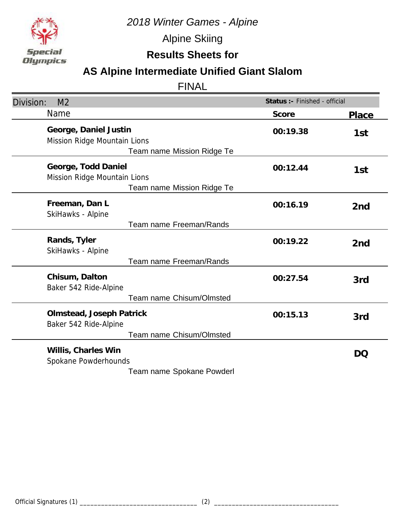

Alpine Skiing

**Results Sheets for**

# **AS Alpine Intermediate Unified Giant Slalom**

| Division:<br>M <sub>2</sub>                                                              | Status :- Finished - official |       |
|------------------------------------------------------------------------------------------|-------------------------------|-------|
| <b>Name</b>                                                                              | Score                         | Place |
| George, Daniel Justin<br>Mission Ridge Mountain Lions<br>Team name Mission Ridge Te      | 00:19.38                      | 1st   |
| George, Todd Daniel<br>Mission Ridge Mountain Lions<br><b>Team name Mission Ridge Te</b> | 00:12.44                      | 1st   |
| Freeman, Dan L<br>SkiHawks - Alpine                                                      | 00:16.19                      | 2nd   |
| Team name Freeman/Rands                                                                  |                               |       |
| Rands, Tyler<br>SkiHawks - Alpine                                                        | 00:19.22                      | 2nd   |
| Team name Freeman/Rands                                                                  |                               |       |
| Chisum, Dalton<br>Baker 542 Ride-Alpine<br>Team name Chisum/Olmsted                      | 00:27.54                      | 3rd   |
|                                                                                          |                               |       |
| Olmstead, Joseph Patrick<br>Baker 542 Ride-Alpine                                        | 00:15.13                      | 3rd   |
| <b>Team name Chisum/Olmsted</b>                                                          |                               |       |
| Willis, Charles Win<br>Spokane Powderhounds                                              |                               | DQ    |
| Team name Spokane Powderl                                                                |                               |       |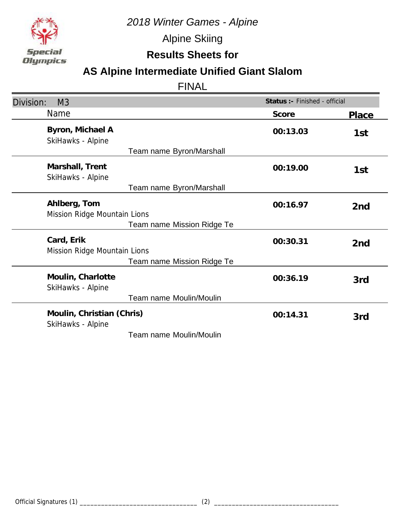

Alpine Skiing

## **Results Sheets for**

# **AS Alpine Intermediate Unified Giant Slalom**

| Division:<br>M3                                | Status :- Finished - official |                 |
|------------------------------------------------|-------------------------------|-----------------|
| Name                                           | Score                         | <b>Place</b>    |
| Byron, Michael A<br>SkiHawks - Alpine          | 00:13.03                      | 1st             |
| Team name Byron/Marshall                       |                               |                 |
| Marshall, Trent<br>SkiHawks - Alpine           | 00:19.00                      | 1st             |
| Team name Byron/Marshall                       |                               |                 |
| Ahlberg, Tom<br>Mission Ridge Mountain Lions   | 00:16.97                      | 2 <sub>nd</sub> |
| Team name Mission Ridge Te                     |                               |                 |
| Card, Erik<br>Mission Ridge Mountain Lions     | 00:30.31                      | 2 <sub>nd</sub> |
| Team name Mission Ridge Te                     |                               |                 |
| Moulin, Charlotte<br>SkiHawks - Alpine         | 00:36.19                      | 3rd             |
| Team name Moulin/Moulin                        |                               |                 |
| Moulin, Christian (Chris)<br>SkiHawks - Alpine | 00:14.31                      | 3rd             |
| Team name Moulin/Moulin                        |                               |                 |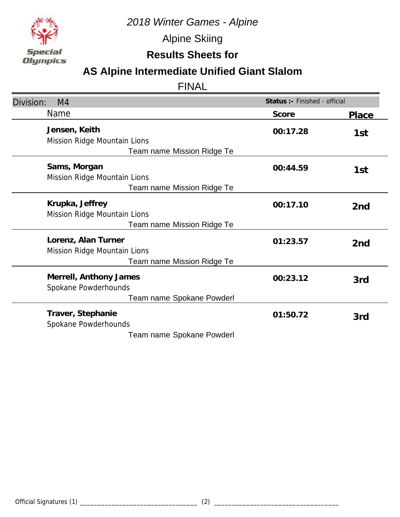

Alpine Skiing

## **Results Sheets for**

# **AS Alpine Intermediate Unified Giant Slalom**

| Division:<br>M <sub>4</sub>                                                        | Status :- Finished - official |                 |
|------------------------------------------------------------------------------------|-------------------------------|-----------------|
| Name                                                                               | Score                         | Place           |
| Jensen, Keith<br>Mission Ridge Mountain Lions<br><b>Team name Mission Ridge Te</b> | 00:17.28                      | 1st             |
| Sams, Morgan<br>Mission Ridge Mountain Lions<br>Team name Mission Ridge Te         | 00:44.59                      | 1st             |
| Krupka, Jeffrey<br>Mission Ridge Mountain Lions<br>Team name Mission Ridge Te      | 00:17.10                      | 2 <sub>nd</sub> |
| Lorenz, Alan Turner<br>Mission Ridge Mountain Lions<br>Team name Mission Ridge Te  | 01:23.57                      | 2 <sub>nd</sub> |
| Merrell, Anthony James<br>Spokane Powderhounds<br>Team name Spokane Powderl        | 00:23.12                      | 3rd             |
| Traver, Stephanie<br>Spokane Powderhounds<br>Team name Spokane Powderl             | 01:50.72                      | 3rd             |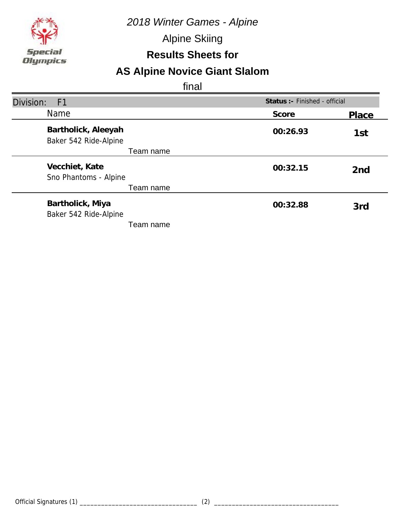*2018 Winter Games - Alpine*

Alpine Skiing

### **Results Sheets for**

# **AS Alpine Novice Giant Slalom**

| Division:<br>F <sub>1</sub>                  | Status :- Finished - official |                 |
|----------------------------------------------|-------------------------------|-----------------|
| <b>Name</b>                                  | Score                         | Place           |
| Bartholick, Aleeyah<br>Baker 542 Ride-Alpine | 00:26.93                      | 1st             |
| Team name                                    |                               |                 |
| Vecchiet, Kate<br>Sno Phantoms - Alpine      | 00:32.15                      | 2 <sub>nd</sub> |
| Team name                                    |                               |                 |
| Bartholick, Miya<br>Baker 542 Ride-Alpine    | 00:32.88                      | 3rd             |
| Team name                                    |                               |                 |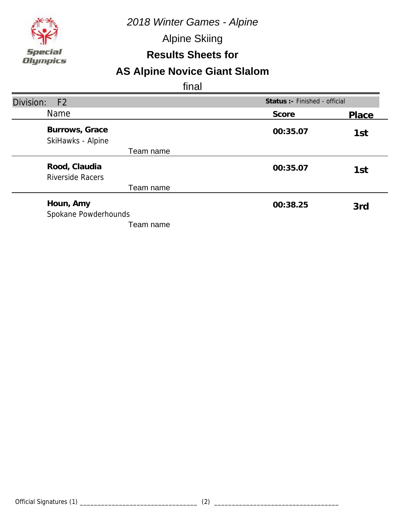*2018 Winter Games - Alpine*

Alpine Skiing

### **Results Sheets for**

# **AS Alpine Novice Giant Slalom**

| Division:<br>F <sub>2</sub>              |          | Status :- Finished - official |  |
|------------------------------------------|----------|-------------------------------|--|
| Name                                     | Score    | Place                         |  |
| Burrows, Grace<br>SkiHawks - Alpine      | 00:35.07 | 1st                           |  |
| Team name                                |          |                               |  |
| Rood, Claudia<br><b>Riverside Racers</b> | 00:35.07 | 1st                           |  |
| Team name                                |          |                               |  |
| Houn, Amy<br>Spokane Powderhounds        | 00:38.25 | 3rd                           |  |
| Team name                                |          |                               |  |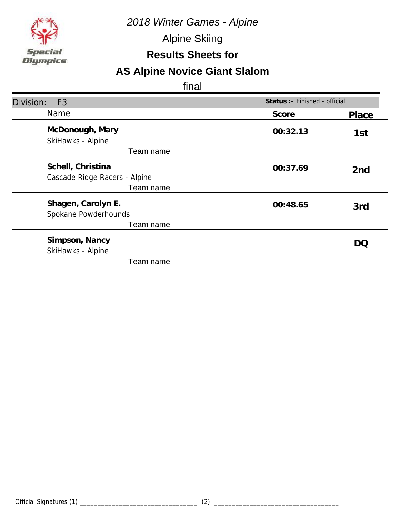*2018 Winter Games - Alpine*

Alpine Skiing

## **Results Sheets for**

# **AS Alpine Novice Giant Slalom**

| Division:<br>F <sub>3</sub>                        | Status :- Finished - official |                          |
|----------------------------------------------------|-------------------------------|--------------------------|
| Name                                               | Score                         | Place                    |
| McDonough, Mary<br>SkiHawks - Alpine               | 00:32.13                      | 1st                      |
| Team name                                          |                               |                          |
| Schell, Christina<br>Cascade Ridge Racers - Alpine | 00:37.69                      | 2 <sub>nd</sub>          |
| Team name                                          |                               |                          |
| Shagen, Carolyn E.<br>Spokane Powderhounds         | 00:48.65                      | 3rd                      |
| Team name                                          |                               |                          |
| Simpson, Nancy<br>SkiHawks - Alpine                |                               | $\mathsf{D}(\mathsf{C})$ |
| Team name                                          |                               |                          |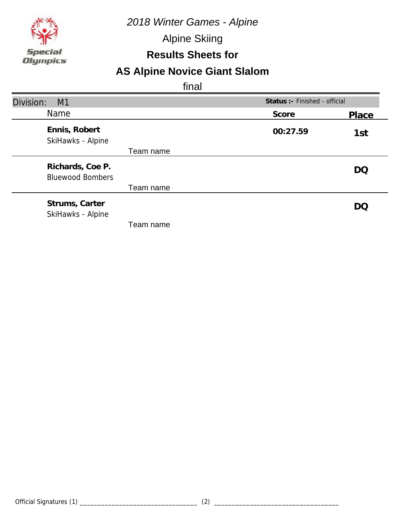*2018 Winter Games - Alpine*

Alpine Skiing

### **Results Sheets for**

# **AS Alpine Novice Giant Slalom**

| Division:<br>M1                             |           |          | Status :- Finished - official |  |
|---------------------------------------------|-----------|----------|-------------------------------|--|
| <b>Name</b>                                 |           | Score    | Place                         |  |
| Ennis, Robert<br>SkiHawks - Alpine          |           | 00:27.59 | 1st                           |  |
|                                             | Team name |          |                               |  |
| Richards, Coe P.<br><b>Bluewood Bombers</b> |           |          | DQ                            |  |
|                                             | Team name |          |                               |  |
| Strums, Carter<br>SkiHawks - Alpine         |           |          | DO                            |  |
|                                             | Team name |          |                               |  |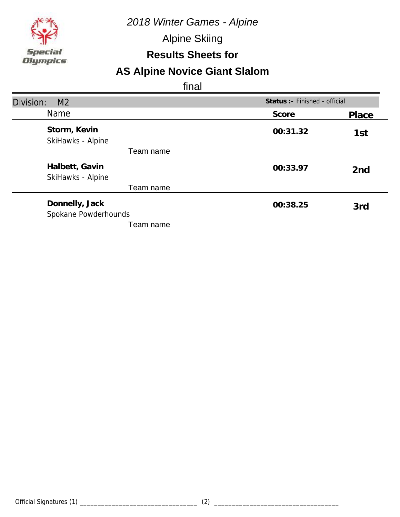

Alpine Skiing

### **Results Sheets for**

# **AS Alpine Novice Giant Slalom**

| Division:<br>M <sub>2</sub>            |          | Status :- Finished - official |  |
|----------------------------------------|----------|-------------------------------|--|
| Name                                   | Score    | Place                         |  |
| Storm, Kevin<br>SkiHawks - Alpine      | 00:31.32 | 1st                           |  |
| Team name                              |          |                               |  |
| Halbett, Gavin<br>SkiHawks - Alpine    | 00:33.97 | 2 <sub>nd</sub>               |  |
| Team name                              |          |                               |  |
| Donnelly, Jack<br>Spokane Powderhounds | 00:38.25 | 3rd                           |  |
| Team name                              |          |                               |  |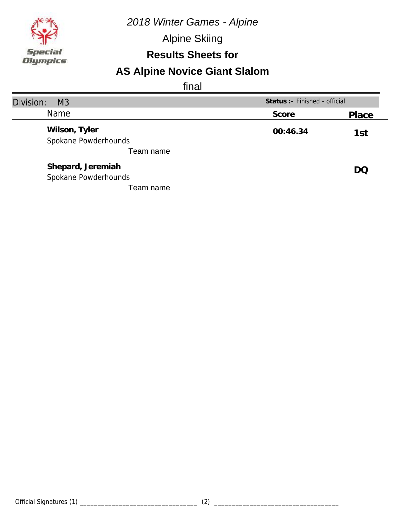*2018 Winter Games - Alpine*

Alpine Skiing

## **Results Sheets for**

# **AS Alpine Novice Giant Slalom**

| Division:<br>M <sub>3</sub>           | Status : - Finished - official |       |
|---------------------------------------|--------------------------------|-------|
| Name                                  | Score                          | Place |
| Wilson, Tyler<br>Spokane Powderhounds | 00:46.34                       | 1st   |
| Team name                             |                                |       |
| Shepard, Jeremiah                     |                                | DQ    |
| Spokane Powderhounds                  |                                |       |
| Team name                             |                                |       |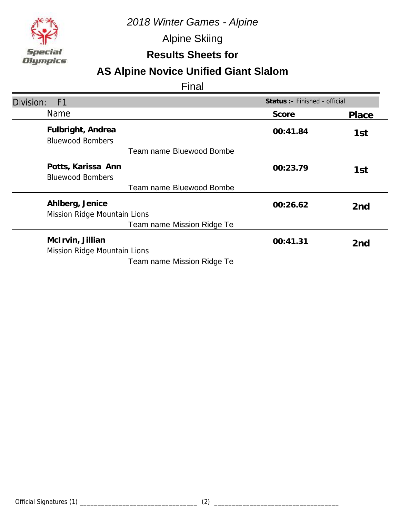

Alpine Skiing

## **Results Sheets for**

# **AS Alpine Novice Unified Giant Slalom**

| Division:<br>F <sub>1</sub>                                                    | Status : - Finished - official |                 |
|--------------------------------------------------------------------------------|--------------------------------|-----------------|
| <b>Name</b>                                                                    | Score                          | Place           |
| Fulbright, Andrea<br><b>Bluewood Bombers</b>                                   | 00:41.84                       | 1st             |
| Team name Bluewood Bombe                                                       |                                |                 |
| Potts, Karissa Ann<br><b>Bluewood Bombers</b>                                  | 00:23.79                       | 1st             |
| Team name Bluewood Bombe                                                       |                                |                 |
| Ahlberg, Jenice<br>Mission Ridge Mountain Lions                                | 00:26.62                       | 2 <sub>nd</sub> |
| Team name Mission Ridge Te                                                     |                                |                 |
| McIrvin, Jillian<br>Mission Ridge Mountain Lions<br>Team name Mission Ridge Te | 00:41.31                       | 2 <sub>nd</sub> |